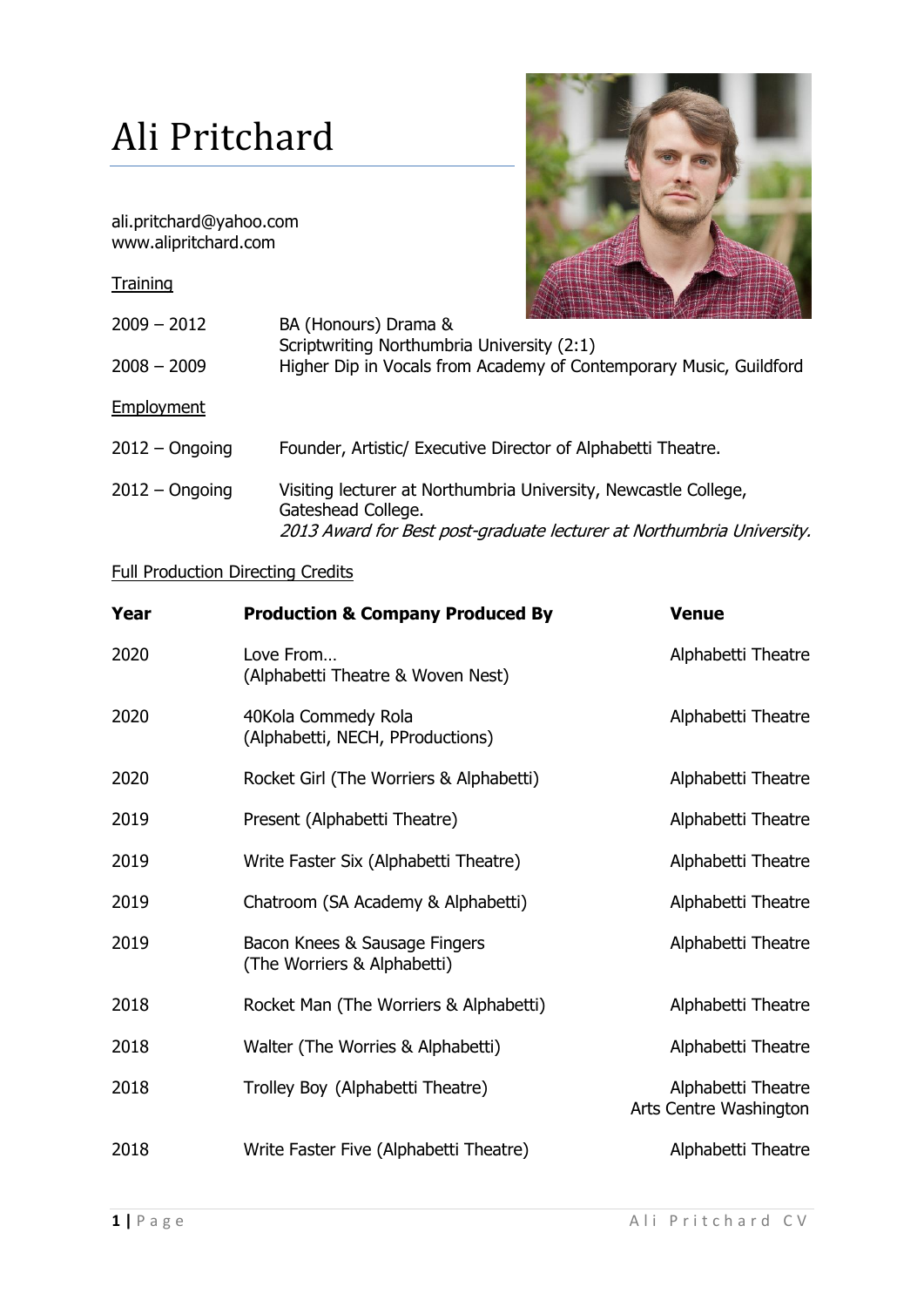## Ali Pritchard

ali.pritchard@yahoo.com www.alipritchard.com

**Training** 



| $2009 - 2012$    | BA (Honours) Drama &<br>Scriptwriting Northumbria University (2:1)                                                                                             |
|------------------|----------------------------------------------------------------------------------------------------------------------------------------------------------------|
| $2008 - 2009$    | Higher Dip in Vocals from Academy of Contemporary Music, Guildford                                                                                             |
| Employment       |                                                                                                                                                                |
| $2012 -$ Ongoing | Founder, Artistic/ Executive Director of Alphabetti Theatre.                                                                                                   |
| $2012 -$ Ongoing | Visiting lecturer at Northumbria University, Newcastle College,<br>Gateshead College.<br>2013 Award for Best post-graduate lecturer at Northumbria University. |

## Full Production Directing Credits

| Year | <b>Production &amp; Company Produced By</b>                  | <b>Venue</b>                                 |
|------|--------------------------------------------------------------|----------------------------------------------|
| 2020 | Love From<br>(Alphabetti Theatre & Woven Nest)               | Alphabetti Theatre                           |
| 2020 | 40Kola Commedy Rola<br>(Alphabetti, NECH, PProductions)      | Alphabetti Theatre                           |
| 2020 | Rocket Girl (The Worriers & Alphabetti)                      | Alphabetti Theatre                           |
| 2019 | Present (Alphabetti Theatre)                                 | Alphabetti Theatre                           |
| 2019 | Write Faster Six (Alphabetti Theatre)                        | Alphabetti Theatre                           |
| 2019 | Chatroom (SA Academy & Alphabetti)                           | Alphabetti Theatre                           |
| 2019 | Bacon Knees & Sausage Fingers<br>(The Worriers & Alphabetti) | Alphabetti Theatre                           |
| 2018 | Rocket Man (The Worriers & Alphabetti)                       | Alphabetti Theatre                           |
| 2018 | Walter (The Worries & Alphabetti)                            | Alphabetti Theatre                           |
| 2018 | Trolley Boy (Alphabetti Theatre)                             | Alphabetti Theatre<br>Arts Centre Washington |
| 2018 | Write Faster Five (Alphabetti Theatre)                       | Alphabetti Theatre                           |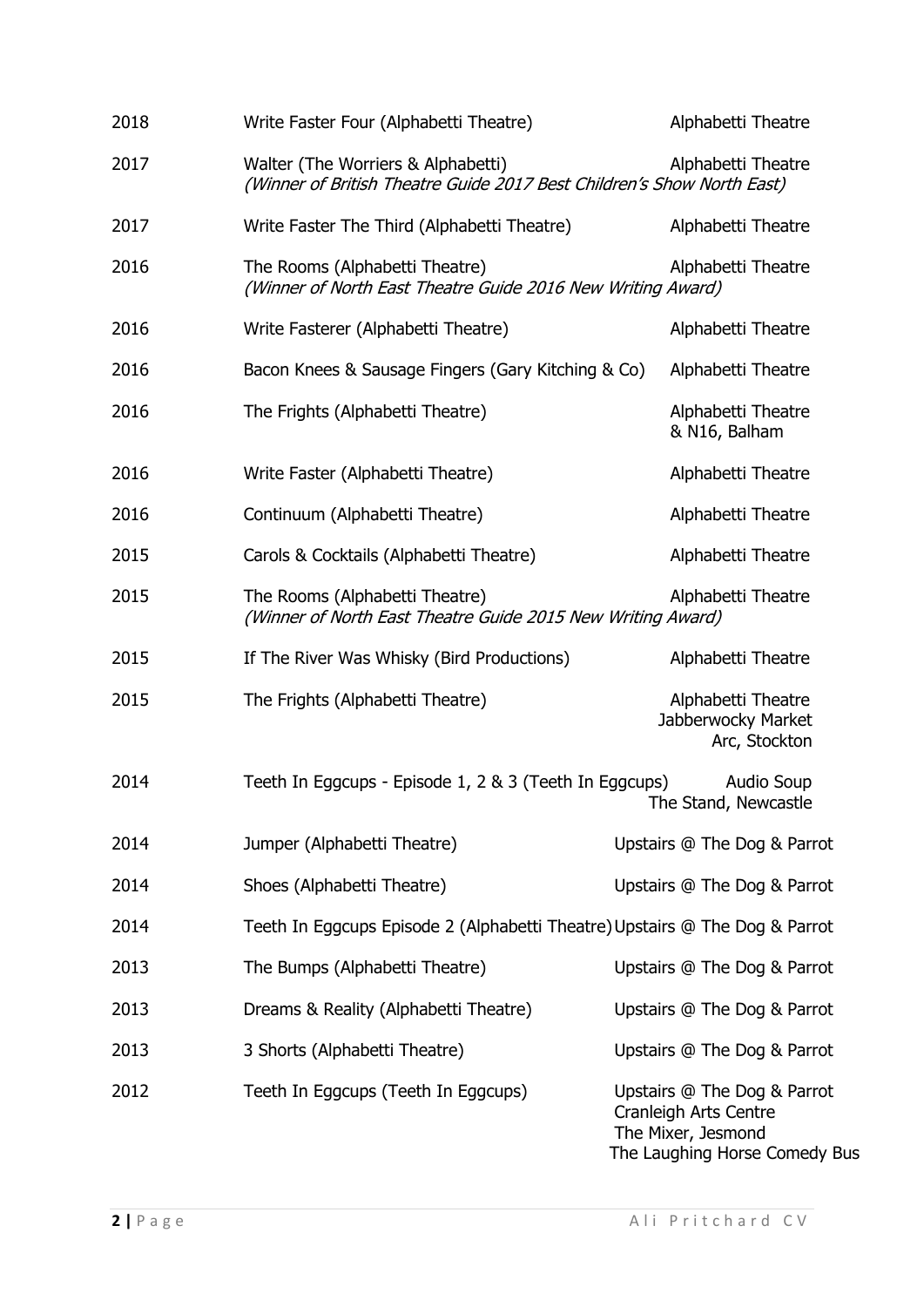| 2018 | Write Faster Four (Alphabetti Theatre)                                                                       | Alphabetti Theatre                                                                                          |
|------|--------------------------------------------------------------------------------------------------------------|-------------------------------------------------------------------------------------------------------------|
| 2017 | Walter (The Worriers & Alphabetti)<br>(Winner of British Theatre Guide 2017 Best Children's Show North East) | Alphabetti Theatre                                                                                          |
| 2017 | Write Faster The Third (Alphabetti Theatre)                                                                  | Alphabetti Theatre                                                                                          |
| 2016 | The Rooms (Alphabetti Theatre)<br>(Winner of North East Theatre Guide 2016 New Writing Award)                | Alphabetti Theatre                                                                                          |
| 2016 | Write Fasterer (Alphabetti Theatre)                                                                          | Alphabetti Theatre                                                                                          |
| 2016 | Bacon Knees & Sausage Fingers (Gary Kitching & Co)                                                           | Alphabetti Theatre                                                                                          |
| 2016 | The Frights (Alphabetti Theatre)                                                                             | Alphabetti Theatre<br>& N16, Balham                                                                         |
| 2016 | Write Faster (Alphabetti Theatre)                                                                            | Alphabetti Theatre                                                                                          |
| 2016 | Continuum (Alphabetti Theatre)                                                                               | Alphabetti Theatre                                                                                          |
| 2015 | Carols & Cocktails (Alphabetti Theatre)                                                                      | Alphabetti Theatre                                                                                          |
| 2015 | The Rooms (Alphabetti Theatre)<br>(Winner of North East Theatre Guide 2015 New Writing Award)                | Alphabetti Theatre                                                                                          |
| 2015 | If The River Was Whisky (Bird Productions)                                                                   | Alphabetti Theatre                                                                                          |
| 2015 | The Frights (Alphabetti Theatre)                                                                             | Alphabetti Theatre<br>Jabberwocky Market<br>Arc, Stockton                                                   |
| 2014 | Teeth In Eggcups - Episode 1, 2 & 3 (Teeth In Eggcups)                                                       | <b>Audio Soup</b><br>The Stand, Newcastle                                                                   |
| 2014 | Jumper (Alphabetti Theatre)                                                                                  | Upstairs @ The Dog & Parrot                                                                                 |
| 2014 | Shoes (Alphabetti Theatre)                                                                                   | Upstairs @ The Dog & Parrot                                                                                 |
| 2014 | Teeth In Eggcups Episode 2 (Alphabetti Theatre) Upstairs @ The Dog & Parrot                                  |                                                                                                             |
| 2013 | The Bumps (Alphabetti Theatre)                                                                               | Upstairs @ The Dog & Parrot                                                                                 |
| 2013 | Dreams & Reality (Alphabetti Theatre)                                                                        | Upstairs @ The Dog & Parrot                                                                                 |
| 2013 | 3 Shorts (Alphabetti Theatre)                                                                                | Upstairs @ The Dog & Parrot                                                                                 |
| 2012 | Teeth In Eggcups (Teeth In Eggcups)                                                                          | Upstairs @ The Dog & Parrot<br>Cranleigh Arts Centre<br>The Mixer, Jesmond<br>The Laughing Horse Comedy Bus |